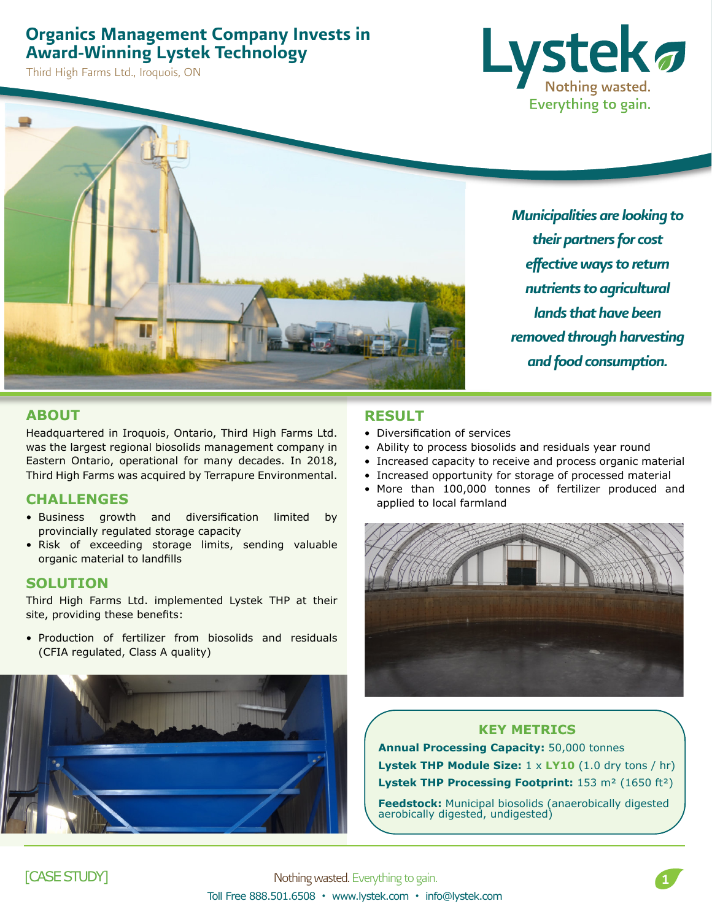## Organics Management Company Invests in Award-Winning Lystek Technology

Third High Farms Ltd., Iroquois, ON





*Municipalities are looking to their partners for cost effective ways to return nutrients to agricultural lands that have been removed through harvesting and food consumption.*

#### **ABOUT**

Headquartered in Iroquois, Ontario, Third High Farms Ltd. was the largest regional biosolids management company in Eastern Ontario, operational for many decades. In 2018, Third High Farms was acquired by Terrapure Environmental.

#### **CHALLENGES**

- Business growth and diversification limited by provincially regulated storage capacity
- Risk of exceeding storage limits, sending valuable organic material to landfills

#### **SOLUTION**

Third High Farms Ltd. implemented Lystek THP at their site, providing these benefits:

• Production of fertilizer from biosolids and residuals (CFIA regulated, Class A quality)



### **RESULT**

- Diversification of services
- Ability to process biosolids and residuals year round
- Increased capacity to receive and process organic material
- Increased opportunity for storage of processed material
- More than 100,000 tonnes of fertilizer produced and applied to local farmland



#### **KEY METRICS**

**Annual Processing Capacity:** 50,000 tonnes **Lystek THP Module Size:** 1 x **LY10** (1.0 dry tons / hr) **Lystek THP Processing Footprint:** 153 m² (1650 ft²)

**Feedstock:** Municipal biosolids (anaerobically digested aerobically digested, undigested)